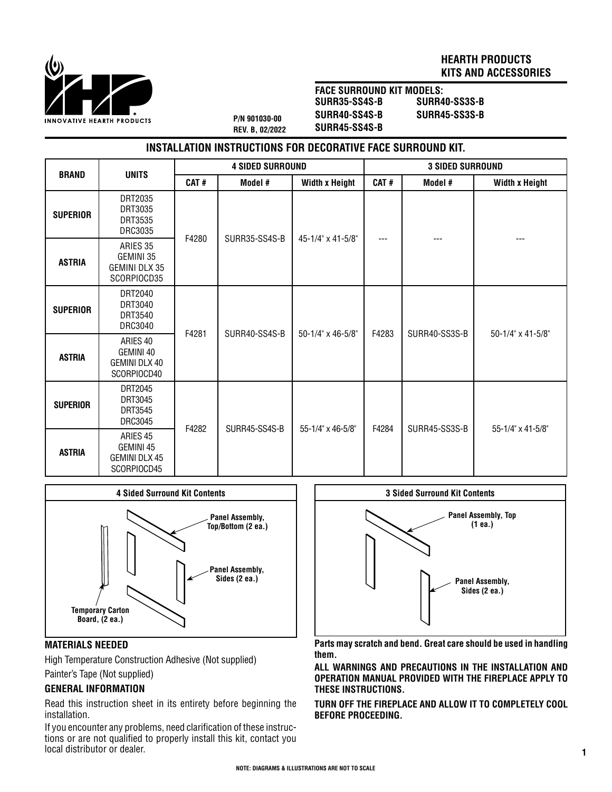

## **HEARTH PRODUCTS KITS AND ACCESSORIES**

**P/N 901030-00 REV. B, 02/2022** **FACE SURROUND KIT MODELS: SURR35-SS4S-B SURR40-SS4S-B SURR45-SS4S-B**

**SURR40-SS3S-B SURR45-SS3S-B**

# **INSTALLATION INSTRUCTIONS FOR DECORATIVE FACE SURROUND KIT.**

| <b>BRAND</b>    | <b>UNITS</b>                                                     | <b>4 SIDED SURROUND</b> |               |                       | <b>3 SIDED SURROUND</b> |               |                       |
|-----------------|------------------------------------------------------------------|-------------------------|---------------|-----------------------|-------------------------|---------------|-----------------------|
|                 |                                                                  | CAT#                    | Model #       | <b>Width x Height</b> | CAT#                    | Model #       | <b>Width x Height</b> |
| <b>SUPERIOR</b> | DRT2035<br>DRT3035<br>DRT3535<br>DRC3035                         | F4280                   | SURR35-SS4S-B | 45-1/4" x 41-5/8"     | ---                     | ---           |                       |
| <b>ASTRIA</b>   | ARIES 35<br>GEMINI 35<br>GEMINI DLX 35<br>SCORPIOCD35            |                         |               |                       |                         |               |                       |
| <b>SUPERIOR</b> | DRT2040<br>DRT3040<br>DRT3540<br><b>DRC3040</b>                  | F4281                   | SURR40-SS4S-B | 50-1/4" x 46-5/8"     | F4283                   | SURR40-SS3S-B | 50-1/4" x 41-5/8"     |
| <b>ASTRIA</b>   | ARIES 40<br>GEMINI 40<br>GEMINI DLX 40<br>SCORPIOCD40            |                         |               |                       |                         |               |                       |
| <b>SUPERIOR</b> | DRT2045<br>DRT3045<br>DRT3545<br>DRC3045                         | F4282                   | SURR45-SS4S-B | 55-1/4" x 46-5/8"     | F4284                   | SURR45-SS3S-B | 55-1/4" x 41-5/8"     |
| <b>ASTRIA</b>   | ARIES <sub>45</sub><br>GEMINI 45<br>GEMINI DLX 45<br>SCORPIOCD45 |                         |               |                       |                         |               |                       |



### **MATERIALS NEEDED**

High Temperature Construction Adhesive (Not supplied)

## Painter's Tape (Not supplied)

## **GENERAL INFORMATION**

Read this instruction sheet in its entirety before beginning the installation.

If you encounter any problems, need clarification of these instructions or are not qualified to properly install this kit, contact you local distributor or dealer.



**Parts may scratch and bend. Great care should be used in handling them.**

**ALL WARNINGS AND PRECAUTIONS IN THE INSTALLATION AND OPERATION MANUAL PROVIDED WITH THE FIREPLACE APPLY TO THESE INSTRUCTIONS.**

**TURN OFF THE FIREPLACE AND ALLOW IT TO COMPLETELY COOL BEFORE PROCEEDING.**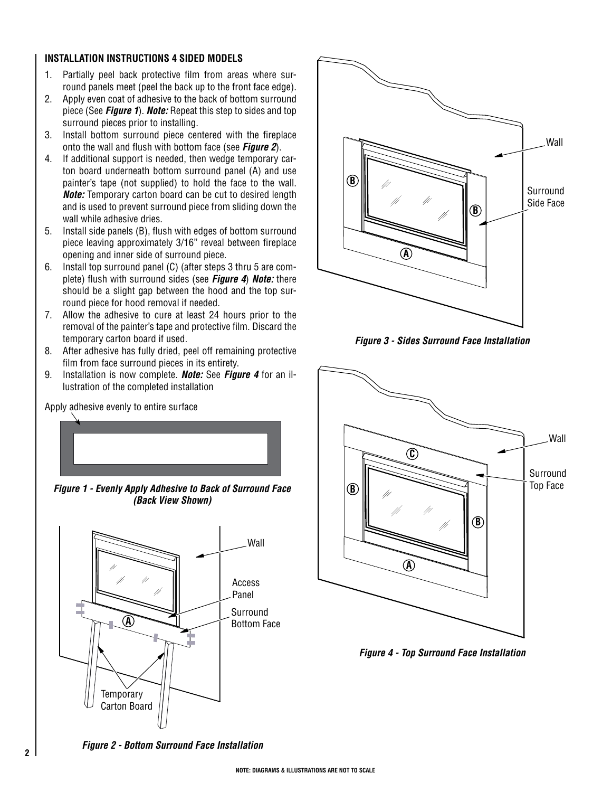#### **INSTALLATION INSTRUCTIONS 4 SIDED MODELS**

- 1. Partially peel back protective film from areas where surround panels meet (peel the back up to the front face edge).
- 2. Apply even coat of adhesive to the back of bottom surround piece (See *Figure 1*). *Note:* Repeat this step to sides and top surround pieces prior to installing.
- 3. Install bottom surround piece centered with the fireplace onto the wall and flush with bottom face (see *Figure 2*).
- 4. If additional support is needed, then wedge temporary carton board underneath bottom surround panel (A) and use painter's tape (not supplied) to hold the face to the wall. *Note:* Temporary carton board can be cut to desired length and is used to prevent surround piece from sliding down the wall while adhesive dries.
- 5. Install side panels (B), flush with edges of bottom surround piece leaving approximately 3/16" reveal between fireplace opening and inner side of surround piece.
- 6. Install top surround panel (C) (after steps 3 thru 5 are complete) flush with surround sides (see *Figure 4*) *Note:* there should be a slight gap between the hood and the top surround piece for hood removal if needed.
- 7. Allow the adhesive to cure at least 24 hours prior to the removal of the painter's tape and protective film. Discard the temporary carton board if used.
- 8. After adhesive has fully dried, peel off remaining protective film from face surround pieces in its entirety.
- 9. Installation is now complete. *Note:* See *Figure 4* for an illustration of the completed installation

Apply adhesive evenly to entire surface



*Figure 1 - Evenly Apply Adhesive to Back of Surround Face (Back View Shown)*



Surround Side Face **A B B**

**Wall** 

*Figure 3 - Sides Surround Face Installation*



*Figure 4 - Top Surround Face Installation*

*Figure 2 - Bottom Surround Face Installation*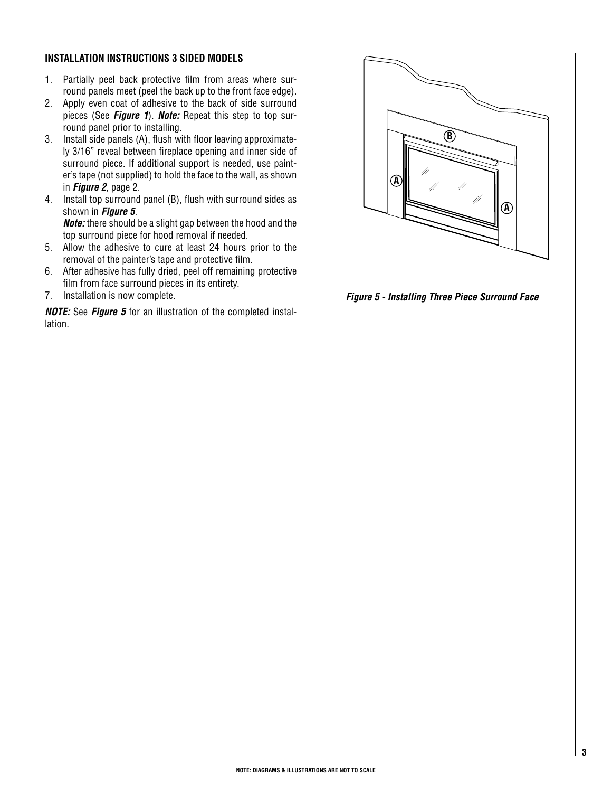#### **INSTALLATION INSTRUCTIONS 3 SIDED MODELS**

- 1. Partially peel back protective film from areas where surround panels meet (peel the back up to the front face edge).
- 2. Apply even coat of adhesive to the back of side surround pieces (See *Figure 1*). *Note:* Repeat this step to top surround panel prior to installing.
- 3. Install side panels (A), flush with floor leaving approximately 3/16" reveal between fireplace opening and inner side of surround piece. If additional support is needed, use painter's tape (not supplied) to hold the face to the wall, as shown in *Figure 2*, page 2.
- 4. Install top surround panel (B), flush with surround sides as shown in *Figure 5*. *Note:* there should be a slight gap between the hood and the top surround piece for hood removal if needed.
- 5. Allow the adhesive to cure at least 24 hours prior to the removal of the painter's tape and protective film.
- 6. After adhesive has fully dried, peel off remaining protective film from face surround pieces in its entirety.
- 7. Installation is now complete.

*NOTE:* See *Figure 5* for an illustration of the completed installation.



*Figure 5 - Installing Three Piece Surround Face*